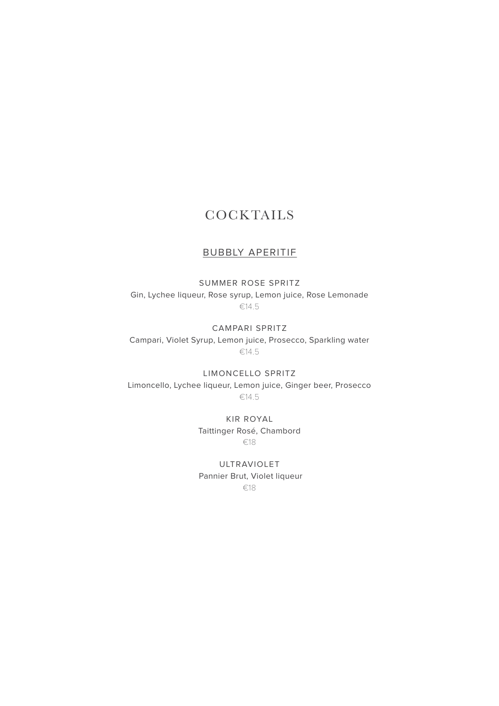## **COCKTAILS**

### BUBBLY APERITIF

SUMMER ROSE SPRITZ Gin, Lychee liqueur, Rose syrup, Lemon juice, Rose Lemonade €14.5

CAMPARI SPRITZ Campari, Violet Syrup, Lemon juice, Prosecco, Sparkling water €14.5

LIMONCELLO SPRITZ Limoncello, Lychee liqueur, Lemon juice, Ginger beer, Prosecco €14.5

> KIR ROYAL Taittinger Rosé, Chambord €18

ULTRAVIOLET Pannier Brut, Violet liqueur €18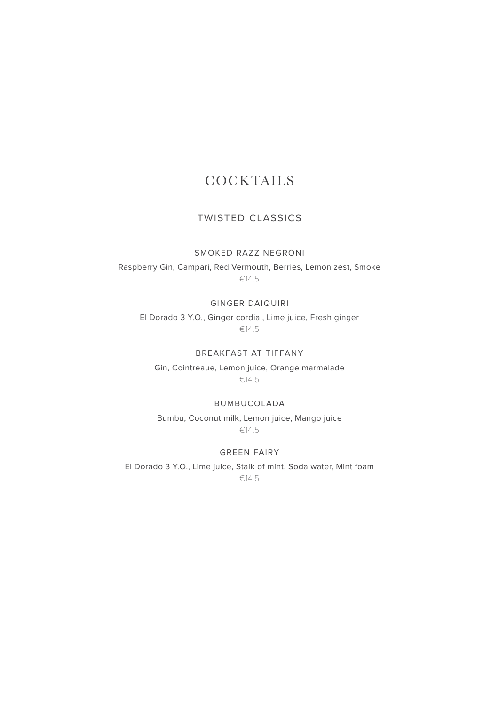## **COCKTAILS**

### TWISTED CLASSICS

### SMOKED RAZZ NEGRONI

Raspberry Gin, Campari, Red Vermouth, Berries, Lemon zest, Smoke €14.5

#### GINGER DAIQUIRI

El Dorado 3 Y.O., Ginger cordial, Lime juice, Fresh ginger €14.5

### BREAKFAST AT TIFFANY

Gin, Cointreaue, Lemon juice, Orange marmalade €14.5

#### BUMBUCOLADA

Bumbu, Coconut milk, Lemon juice, Mango juice €14.5

#### GREEN FAIRY

El Dorado 3 Y.O., Lime juice, Stalk of mint, Soda water, Mint foam €14.5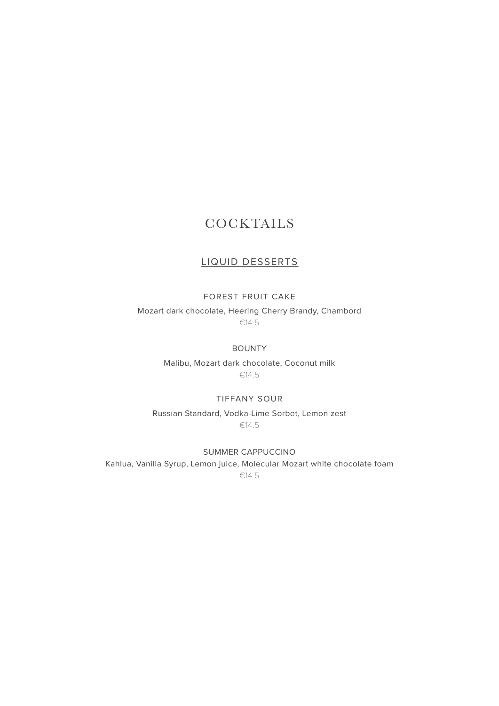## **COCKTAILS**

### LIQUID DESSERTS

#### FOREST FRUIT CAKE

Mozart dark chocolate, Heering Cherry Brandy, Chambord €14.5

#### BOUNTY

Malibu, Mozart dark chocolate, Coconut milk €14.5

#### TIFFANY SOUR

Russian Standard, Vodka-Lime Sorbet, Lemon zest €14.5

SUMMER CAPPUCCINO

Kahlua, Vanilla Syrup, Lemon juice, Molecular Mozart white chocolate foam €14.5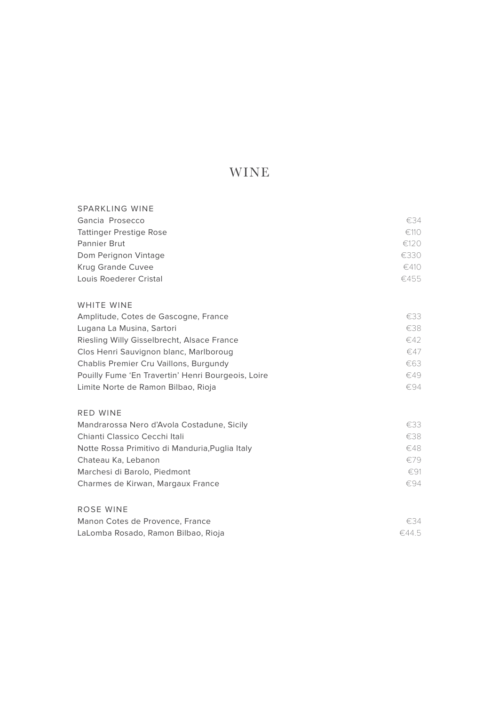### WINE

| <b>SPARKLING WINE</b>                              |               |
|----------------------------------------------------|---------------|
| Gancia Prosecco                                    | €34           |
| <b>Tattinger Prestige Rose</b>                     | €110          |
| Pannier Brut                                       | €120          |
| Dom Perignon Vintage                               | €330          |
| <b>Krug Grande Cuvee</b>                           | €410          |
| Louis Roederer Cristal                             | €455          |
| WHITE WINE                                         |               |
| Amplitude, Cotes de Gascogne, France               | €33           |
| Lugana La Musina, Sartori                          | €38           |
| Riesling Willy Gisselbrecht, Alsace France         | €42           |
| Clos Henri Sauvignon blanc, Marlboroug             | €47           |
| Chablis Premier Cru Vaillons, Burgundy             | €63           |
| Pouilly Fume 'En Travertin' Henri Bourgeois, Loire | €49           |
| Limite Norte de Ramon Bilbao, Rioja                | €94           |
| <b>RED WINE</b>                                    |               |
| Mandrarossa Nero d'Avola Costadune, Sicily         | €33           |
| Chianti Classico Cecchi Itali                      | €38           |
| Notte Rossa Primitivo di Manduria, Puglia Italy    | €48           |
| Chateau Ka, Lebanon                                | €79           |
| Marchesi di Barolo, Piedmont                       | $\epsilon$ 91 |
| Charmes de Kirwan, Margaux France                  | €94           |
| ROSE WINE                                          |               |
| Manon Cotes de Provence, France                    | €34           |

LaLomba Rosado, Ramon Bilbao, Rioja €44.5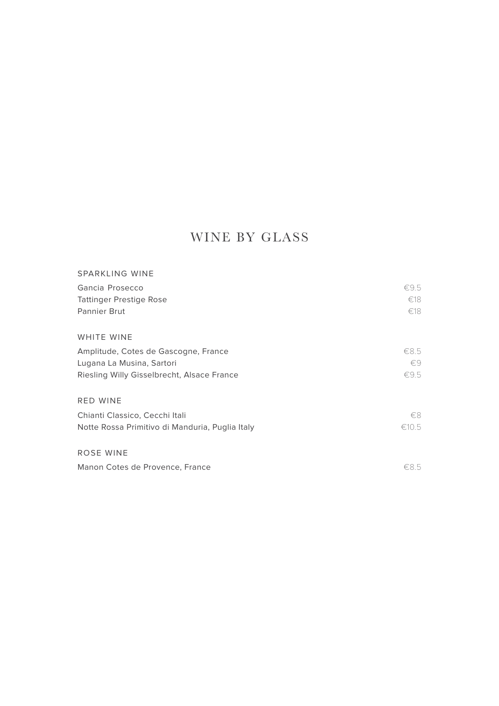# WINE BY GLASS

| SPARKLING WINE                                  |              |
|-------------------------------------------------|--------------|
| Gancia Prosecco                                 | €9.5         |
| <b>Tattinger Prestige Rose</b>                  | €18          |
| <b>Pannier Brut</b>                             | €18          |
| WHITE WINE                                      |              |
| Amplitude, Cotes de Gascogne, France            | €8.5         |
| Lugana La Musina, Sartori                       | $\epsilon$ 9 |
| Riesling Willy Gisselbrecht, Alsace France      | €9.5         |
| <b>RED WINE</b>                                 |              |
| Chianti Classico, Cecchi Itali                  | €8           |
| Notte Rossa Primitivo di Manduria, Puglia Italy | €10.5        |
| ROSE WINE                                       |              |
| Manon Cotes de Provence, France                 | €8.5         |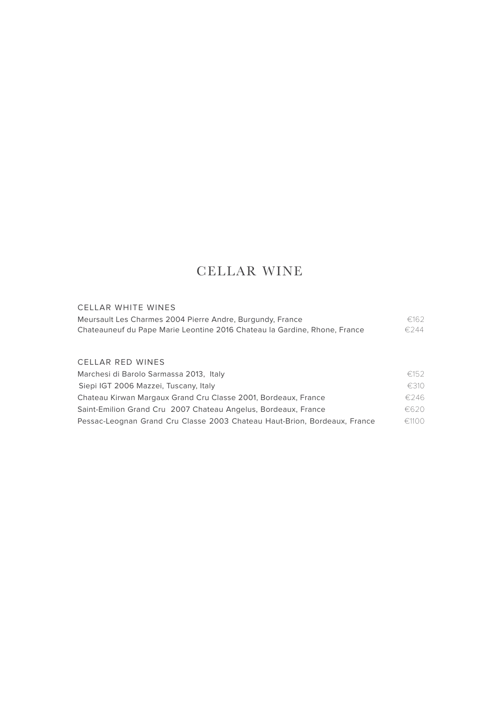## CELLAR WINE

### CELLAR WHITE WINES Meursault Les Charmes 2004 Pierre Andre, Burgundy, France €162 Chateauneuf du Pape Marie Leontine 2016 Chateau la Gardine, Rhone, France €244 CELLAR RED WINES Marchesi di Barolo Sarmassa 2013, Italy <del>€152</del> Siepi IGT 2006 Mazzei, Tuscany, Italy **Example 2012** €310 Chateau Kirwan Margaux Grand Cru Classe 2001, Bordeaux, France €246 Saint-Emilion Grand Cru 2007 Chateau Angelus, Bordeaux, France €620

Pessac-Leognan Grand Cru Classe 2003 Chateau Haut-Brion, Bordeaux, France €1100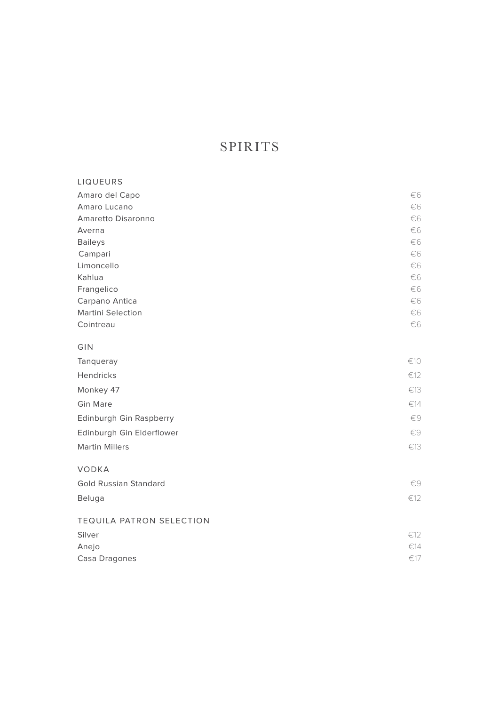# SPIRITS

| LIQUEURS                     |               |
|------------------------------|---------------|
| Amaro del Capo               | €6            |
| Amaro Lucano                 | €6            |
| Amaretto Disaronno           | €6            |
| Averna                       | €6            |
| <b>Baileys</b>               | €6            |
| Campari                      | €6            |
| Limoncello                   | €6            |
| Kahlua                       | €6            |
| Frangelico                   | €6            |
| Carpano Antica               | €6            |
| <b>Martini Selection</b>     | €6<br>€6      |
| Cointreau                    |               |
| GIN                          |               |
| Tanqueray                    | €10           |
| Hendricks                    | $\epsilon$ 12 |
| Monkey 47                    | €13           |
| <b>Gin Mare</b>              | €14           |
| Edinburgh Gin Raspberry      | $\in \infty$  |
| Edinburgh Gin Elderflower    | €9            |
| <b>Martin Millers</b>        | €13           |
| <b>VODKA</b>                 |               |
| <b>Gold Russian Standard</b> | €9            |
| Beluga                       | €12           |
|                              |               |
| TEQUILA PATRON SELECTION     |               |
| Silver                       | €12           |
| Anejo                        | €14           |
| Casa Dragones                | €17           |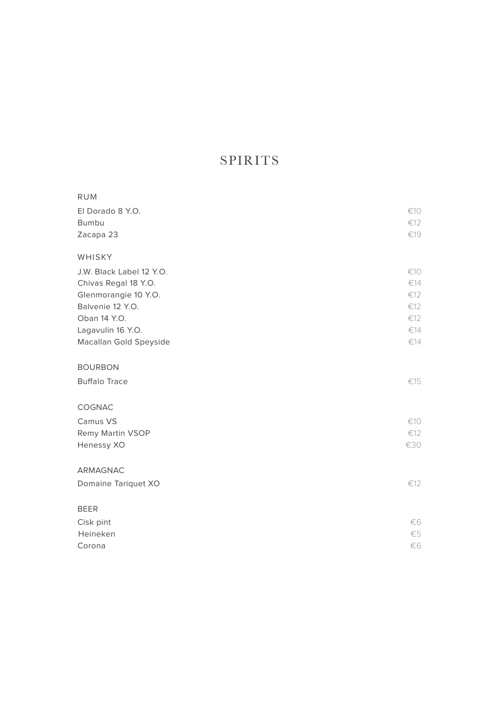## SPIRITS

| RUM                      |         |
|--------------------------|---------|
| El Dorado 8 Y.O.         | €10     |
| <b>Bumbu</b>             | €12     |
| Zacapa 23                | €19     |
| WHISKY                   |         |
| J.W. Black Label 12 Y.O. | €10     |
| Chivas Regal 18 Y.O.     | €14     |
| Glenmorangie 10 Y.O.     | €12     |
| Balvenie 12 Y.O.         | €12     |
| Oban 14 Y.O.             | €12     |
| Lagavulin 16 Y.O.        | €14     |
| Macallan Gold Speyside   | €14     |
| <b>BOURBON</b>           |         |
| <b>Buffalo Trace</b>     | €15     |
|                          |         |
| COGNAC                   |         |
| Camus VS                 | €10     |
| Remy Martin VSOP         | €12     |
| Henessy XO               | €30     |
| ARMAGNAC                 |         |
| Domaine Tariquet XO      | €12     |
|                          |         |
| <b>BEER</b>              |         |
| Cisk pint                | €6      |
| Heineken                 | $\in$ 5 |
| Corona                   | €6      |